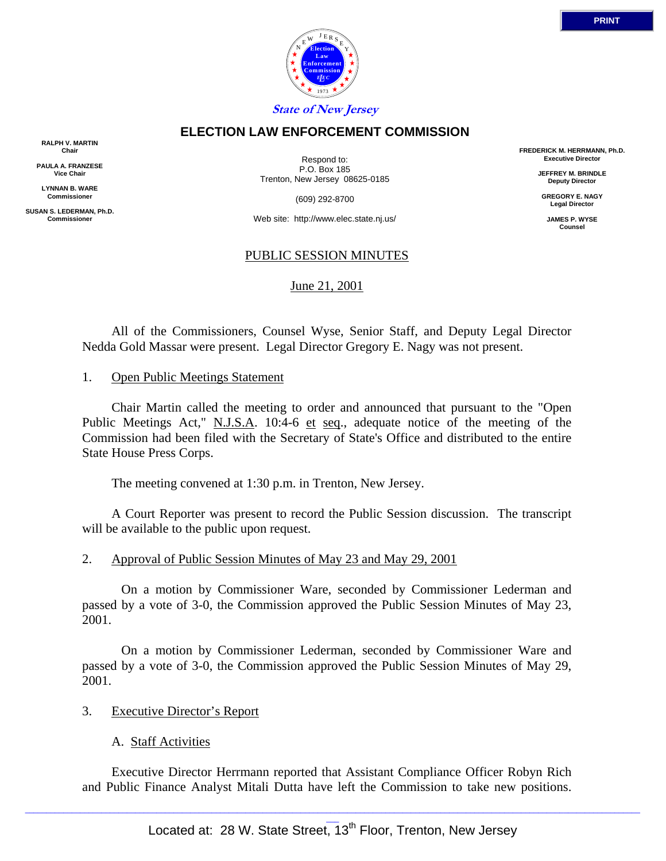

### **ELECTION LAW ENFORCEMENT COMMISSION**

**RALPH V. MARTIN Chair**

**PAULA A. FRANZESE Vice Chair**

**LYNNAN B. WARE Commissioner**

**SUSAN S. LEDERMAN, Ph.D. Commissioner**

Respond to: P.O. Box 185 Trenton, New Jersey 08625-0185

(609) 292-8700

Web site: http://www.elec.state.nj.us/

### PUBLIC SESSION MINUTES

June 21, 2001

 All of the Commissioners, Counsel Wyse, Senior Staff, and Deputy Legal Director Nedda Gold Massar were present. Legal Director Gregory E. Nagy was not present.

### 1. Open Public Meetings Statement

 Chair Martin called the meeting to order and announced that pursuant to the "Open Public Meetings Act," N.J.S.A. 10:4-6 et seq., adequate notice of the meeting of the Commission had been filed with the Secretary of State's Office and distributed to the entire State House Press Corps.

The meeting convened at 1:30 p.m. in Trenton, New Jersey.

 A Court Reporter was present to record the Public Session discussion. The transcript will be available to the public upon request.

#### 2. Approval of Public Session Minutes of May 23 and May 29, 2001

 On a motion by Commissioner Ware, seconded by Commissioner Lederman and passed by a vote of 3-0, the Commission approved the Public Session Minutes of May 23, 2001.

 On a motion by Commissioner Lederman, seconded by Commissioner Ware and passed by a vote of 3-0, the Commission approved the Public Session Minutes of May 29, 2001.

#### 3. Executive Director's Report

A. Staff Activities

 Executive Director Herrmann reported that Assistant Compliance Officer Robyn Rich and Public Finance Analyst Mitali Dutta have left the Commission to take new positions.

**FREDERICK M. HERRMANN, Ph.D. Executive Director**

> **JEFFREY M. BRINDLE Deputy Director**

**GREGORY E. NAGY Legal Director**

**JAMES P. WYSE Counsel**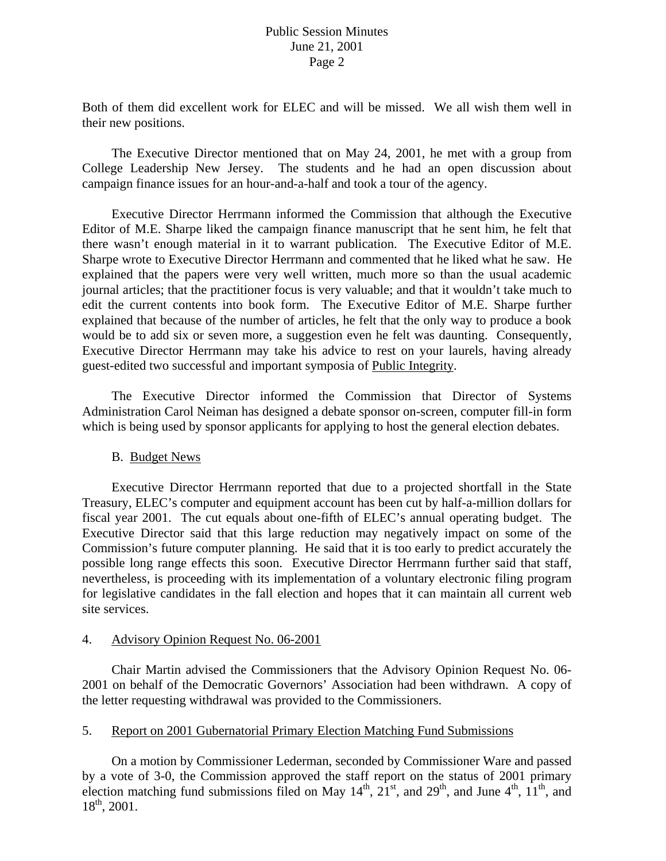# Public Session Minutes June 21, 2001 Page 2

Both of them did excellent work for ELEC and will be missed. We all wish them well in their new positions.

 The Executive Director mentioned that on May 24, 2001, he met with a group from College Leadership New Jersey. The students and he had an open discussion about campaign finance issues for an hour-and-a-half and took a tour of the agency.

 Executive Director Herrmann informed the Commission that although the Executive Editor of M.E. Sharpe liked the campaign finance manuscript that he sent him, he felt that there wasn't enough material in it to warrant publication. The Executive Editor of M.E. Sharpe wrote to Executive Director Herrmann and commented that he liked what he saw. He explained that the papers were very well written, much more so than the usual academic journal articles; that the practitioner focus is very valuable; and that it wouldn't take much to edit the current contents into book form. The Executive Editor of M.E. Sharpe further explained that because of the number of articles, he felt that the only way to produce a book would be to add six or seven more, a suggestion even he felt was daunting. Consequently, Executive Director Herrmann may take his advice to rest on your laurels, having already guest-edited two successful and important symposia of Public Integrity.

 The Executive Director informed the Commission that Director of Systems Administration Carol Neiman has designed a debate sponsor on-screen, computer fill-in form which is being used by sponsor applicants for applying to host the general election debates.

## B. Budget News

 Executive Director Herrmann reported that due to a projected shortfall in the State Treasury, ELEC's computer and equipment account has been cut by half-a-million dollars for fiscal year 2001. The cut equals about one-fifth of ELEC's annual operating budget. The Executive Director said that this large reduction may negatively impact on some of the Commission's future computer planning. He said that it is too early to predict accurately the possible long range effects this soon. Executive Director Herrmann further said that staff, nevertheless, is proceeding with its implementation of a voluntary electronic filing program for legislative candidates in the fall election and hopes that it can maintain all current web site services.

#### 4. Advisory Opinion Request No. 06-2001

 Chair Martin advised the Commissioners that the Advisory Opinion Request No. 06- 2001 on behalf of the Democratic Governors' Association had been withdrawn. A copy of the letter requesting withdrawal was provided to the Commissioners.

## 5. Report on 2001 Gubernatorial Primary Election Matching Fund Submissions

 On a motion by Commissioner Lederman, seconded by Commissioner Ware and passed by a vote of 3-0, the Commission approved the staff report on the status of 2001 primary election matching fund submissions filed on May  $14<sup>th</sup>$ ,  $21<sup>st</sup>$ , and  $29<sup>th</sup>$ , and June  $4<sup>th</sup>$ ,  $11<sup>th</sup>$ , and  $18^{th}$ , 2001.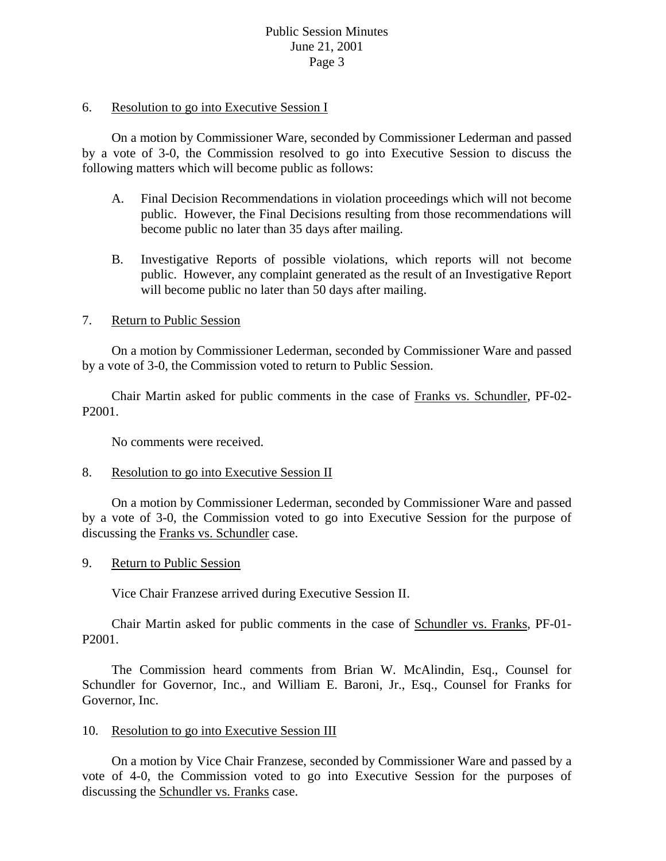# Public Session Minutes June 21, 2001 Page 3

### 6. Resolution to go into Executive Session I

 On a motion by Commissioner Ware, seconded by Commissioner Lederman and passed by a vote of 3-0, the Commission resolved to go into Executive Session to discuss the following matters which will become public as follows:

- A. Final Decision Recommendations in violation proceedings which will not become public. However, the Final Decisions resulting from those recommendations will become public no later than 35 days after mailing.
- B. Investigative Reports of possible violations, which reports will not become public. However, any complaint generated as the result of an Investigative Report will become public no later than 50 days after mailing.

## 7. Return to Public Session

 On a motion by Commissioner Lederman, seconded by Commissioner Ware and passed by a vote of 3-0, the Commission voted to return to Public Session.

 Chair Martin asked for public comments in the case of Franks vs. Schundler, PF-02- P2001.

No comments were received.

## 8. Resolution to go into Executive Session II

 On a motion by Commissioner Lederman, seconded by Commissioner Ware and passed by a vote of 3-0, the Commission voted to go into Executive Session for the purpose of discussing the Franks vs. Schundler case.

## 9. Return to Public Session

Vice Chair Franzese arrived during Executive Session II.

 Chair Martin asked for public comments in the case of Schundler vs. Franks, PF-01- P2001.

 The Commission heard comments from Brian W. McAlindin, Esq., Counsel for Schundler for Governor, Inc., and William E. Baroni, Jr., Esq., Counsel for Franks for Governor, Inc.

## 10. Resolution to go into Executive Session III

 On a motion by Vice Chair Franzese, seconded by Commissioner Ware and passed by a vote of 4-0, the Commission voted to go into Executive Session for the purposes of discussing the Schundler vs. Franks case.